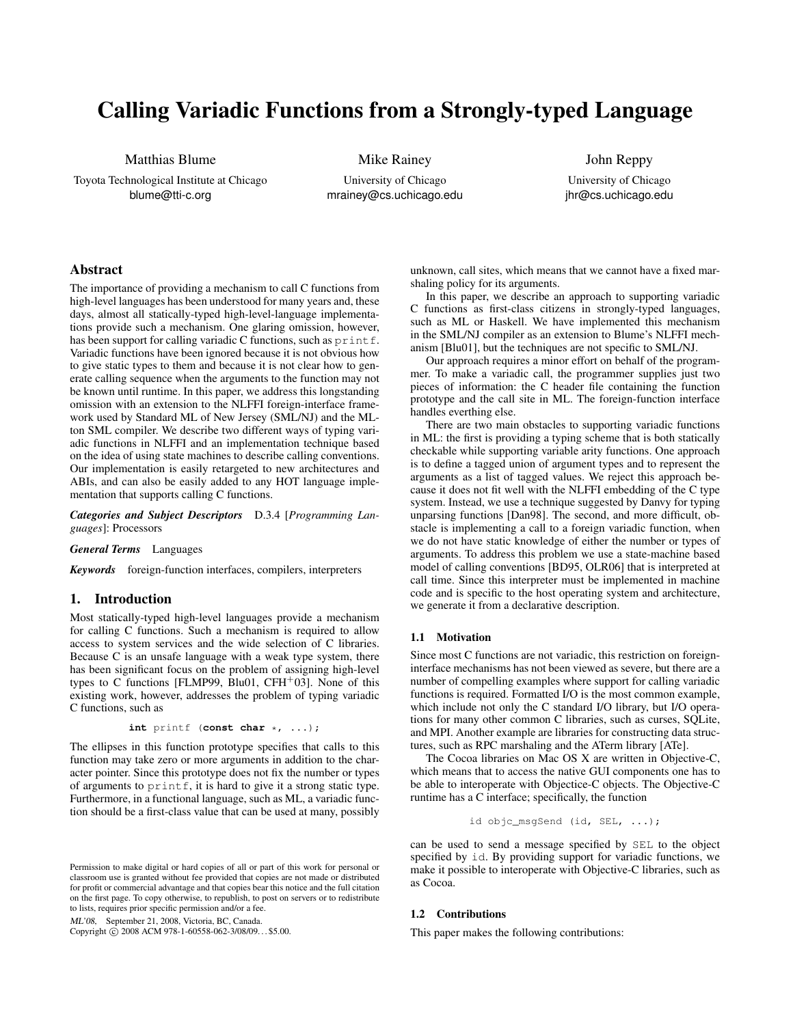# Calling Variadic Functions from a Strongly-typed Language

Matthias Blume

Toyota Technological Institute at Chicago blume@tti-c.org

Mike Rainey

University of Chicago mrainey@cs.uchicago.edu

John Reppy University of Chicago jhr@cs.uchicago.edu

# Abstract

The importance of providing a mechanism to call C functions from high-level languages has been understood for many years and, these days, almost all statically-typed high-level-language implementations provide such a mechanism. One glaring omission, however, has been support for calling variadic C functions, such as printf. Variadic functions have been ignored because it is not obvious how to give static types to them and because it is not clear how to generate calling sequence when the arguments to the function may not be known until runtime. In this paper, we address this longstanding omission with an extension to the NLFFI foreign-interface framework used by Standard ML of New Jersey (SML/NJ) and the MLton SML compiler. We describe two different ways of typing variadic functions in NLFFI and an implementation technique based on the idea of using state machines to describe calling conventions. Our implementation is easily retargeted to new architectures and ABIs, and can also be easily added to any HOT language implementation that supports calling C functions.

*Categories and Subject Descriptors* D.3.4 [*Programming Languages*]: Processors

*General Terms* Languages

*Keywords* foreign-function interfaces, compilers, interpreters

# 1. Introduction

Most statically-typed high-level languages provide a mechanism for calling C functions. Such a mechanism is required to allow access to system services and the wide selection of C libraries. Because C is an unsafe language with a weak type system, there has been significant focus on the problem of assigning high-level types to C functions [FLMP99, Blu01,  $CFH<sup>+</sup>03$ ]. None of this existing work, however, addresses the problem of typing variadic C functions, such as

**int** printf (**const char** \*, ...);

The ellipses in this function prototype specifies that calls to this function may take zero or more arguments in addition to the character pointer. Since this prototype does not fix the number or types of arguments to  $print f$ , it is hard to give it a strong static type. Furthermore, in a functional language, such as ML, a variadic function should be a first-class value that can be used at many, possibly

ML'08, September 21, 2008, Victoria, BC, Canada.

Copyright © 2008 ACM 978-1-60558-062-3/08/09... \$5.00.

unknown, call sites, which means that we cannot have a fixed marshaling policy for its arguments.

In this paper, we describe an approach to supporting variadic C functions as first-class citizens in strongly-typed languages, such as ML or Haskell. We have implemented this mechanism in the SML/NJ compiler as an extension to Blume's NLFFI mechanism [Blu01], but the techniques are not specific to SML/NJ.

Our approach requires a minor effort on behalf of the programmer. To make a variadic call, the programmer supplies just two pieces of information: the C header file containing the function prototype and the call site in ML. The foreign-function interface handles everthing else.

There are two main obstacles to supporting variadic functions in ML: the first is providing a typing scheme that is both statically checkable while supporting variable arity functions. One approach is to define a tagged union of argument types and to represent the arguments as a list of tagged values. We reject this approach because it does not fit well with the NLFFI embedding of the C type system. Instead, we use a technique suggested by Danvy for typing unparsing functions [Dan98]. The second, and more difficult, obstacle is implementing a call to a foreign variadic function, when we do not have static knowledge of either the number or types of arguments. To address this problem we use a state-machine based model of calling conventions [BD95, OLR06] that is interpreted at call time. Since this interpreter must be implemented in machine code and is specific to the host operating system and architecture, we generate it from a declarative description.

#### 1.1 Motivation

Since most C functions are not variadic, this restriction on foreigninterface mechanisms has not been viewed as severe, but there are a number of compelling examples where support for calling variadic functions is required. Formatted I/O is the most common example, which include not only the C standard I/O library, but I/O operations for many other common C libraries, such as curses, SQLite, and MPI. Another example are libraries for constructing data structures, such as RPC marshaling and the ATerm library [ATe].

The Cocoa libraries on Mac OS X are written in Objective-C, which means that to access the native GUI components one has to be able to interoperate with Objectice-C objects. The Objective-C runtime has a C interface; specifically, the function

$$
\mathtt{id} \ \mathtt{objc\_msgSend} \ \mathtt{(id, SEL, \ \ldots)};
$$

can be used to send a message specified by SEL to the object specified by id. By providing support for variadic functions, we make it possible to interoperate with Objective-C libraries, such as as Cocoa.

#### 1.2 Contributions

This paper makes the following contributions:

Permission to make digital or hard copies of all or part of this work for personal or classroom use is granted without fee provided that copies are not made or distributed for profit or commercial advantage and that copies bear this notice and the full citation on the first page. To copy otherwise, to republish, to post on servers or to redistribute to lists, requires prior specific permission and/or a fee.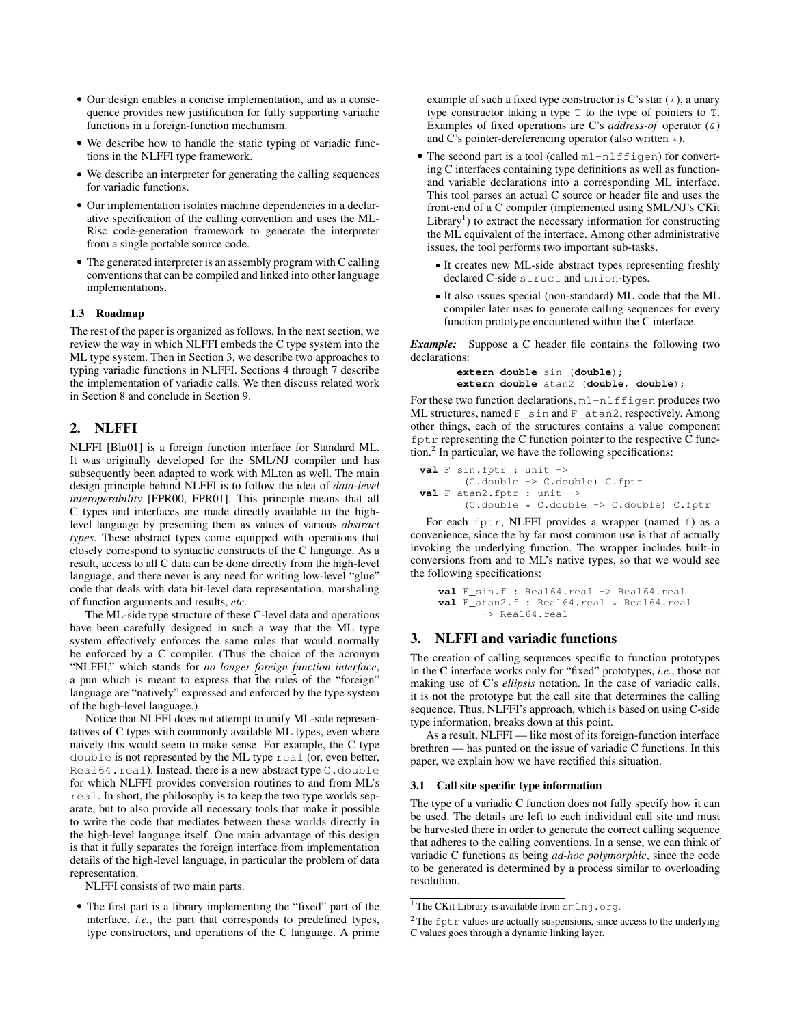- Our design enables a concise implementation, and as a consequence provides new justification for fully supporting variadic functions in a foreign-function mechanism.
- We describe how to handle the static typing of variadic functions in the NLFFI type framework.
- We describe an interpreter for generating the calling sequences for variadic functions.
- Our implementation isolates machine dependencies in a declarative specification of the calling convention and uses the ML-Risc code-generation framework to generate the interpreter from a single portable source code.
- The generated interpreter is an assembly program with C calling conventions that can be compiled and linked into other language implementations.

#### 1.3 Roadmap

The rest of the paper is organized as follows. In the next section, we review the way in which NLFFI embeds the C type system into the ML type system. Then in Section 3, we describe two approaches to typing variadic functions in NLFFI. Sections 4 through 7 describe the implementation of variadic calls. We then discuss related work in Section 8 and conclude in Section 9.

# 2. NLFFI

NLFFI [Blu01] is a foreign function interface for Standard ML. It was originally developed for the SML/NJ compiler and has subsequently been adapted to work with MLton as well. The main design principle behind NLFFI is to follow the idea of *data-level interoperability* [FPR00, FPR01]. This principle means that all C types and interfaces are made directly available to the highlevel language by presenting them as values of various *abstract types*. These abstract types come equipped with operations that closely correspond to syntactic constructs of the C language. As a result, access to all C data can be done directly from the high-level language, and there never is any need for writing low-level "glue" code that deals with data bit-level data representation, marshaling of function arguments and results, *etc.*

The ML-side type structure of these C-level data and operations have been carefully designed in such a way that the ML type system effectively enforces the same rules that would normally be enforced by a C compiler. (Thus the choice of the acronym "NLFFI," which stands for *no longer foreign function interface*, a pun which is meant to express that the rules of the "foreign" language are "natively" expressed and enforced by the type system of the high-level language.)

Notice that NLFFI does not attempt to unify ML-side representatives of C types with commonly available ML types, even where naively this would seem to make sense. For example, the C type double is not represented by the ML type real (or, even better, Real64.real). Instead, there is a new abstract type C.double for which NLFFI provides conversion routines to and from ML's real. In short, the philosophy is to keep the two type worlds separate, but to also provide all necessary tools that make it possible to write the code that mediates between these worlds directly in the high-level language itself. One main advantage of this design is that it fully separates the foreign interface from implementation details of the high-level language, in particular the problem of data representation.

NLFFI consists of two main parts.

• The first part is a library implementing the "fixed" part of the interface, *i.e.*, the part that corresponds to predefined types, type constructors, and operations of the C language. A prime

example of such a fixed type constructor is C's star  $(\star)$ , a unary type constructor taking a type T to the type of pointers to T. Examples of fixed operations are C's *address-of* operator (&) and C's pointer-dereferencing operator (also written \*).

- The second part is a tool (called  $m1-n1ffigen$ ) for converting C interfaces containing type definitions as well as functionand variable declarations into a corresponding ML interface. This tool parses an actual C source or header file and uses the front-end of a C compiler (implemented using SML/NJ's CKit  $Library<sup>1</sup>$ ) to extract the necessary information for constructing the ML equivalent of the interface. Among other administrative issues, the tool performs two important sub-tasks.
	- It creates new ML-side abstract types representing freshly declared C-side struct and union-types.
	- It also issues special (non-standard) ML code that the ML compiler later uses to generate calling sequences for every function prototype encountered within the C interface.

*Example:* Suppose a C header file contains the following two declarations:

```
extern double sin (double);
extern double atan2 (double, double);
```
For these two function declarations,  $m1-n1ff$ igen produces two ML structures, named F\_sin and F\_atan2, respectively. Among other things, each of the structures contains a value component  $f$ ptr representing the C function pointer to the respective C function.<sup>2</sup> In particular, we have the following specifications:

```
val F_sin.fptr : unit ->
       (C.double -> C.double) C.fptr
val F_atan2.fptr : unit ->
       (C.double * C.double -> C.double) C.fptr
```
For each fptr, NLFFI provides a wrapper (named f) as a convenience, since the by far most common use is that of actually invoking the underlying function. The wrapper includes built-in conversions from and to ML's native types, so that we would see the following specifications:

```
val F_sin.f : Real64.real -> Real64.real
val F_atan2.f : Real64.real * Real64.real
       -> Real64.real
```
# 3. NLFFI and variadic functions

The creation of calling sequences specific to function prototypes in the C interface works only for "fixed" prototypes, *i.e.*, those not making use of C's *ellipsis* notation. In the case of variadic calls, it is not the prototype but the call site that determines the calling sequence. Thus, NLFFI's approach, which is based on using C-side type information, breaks down at this point.

As a result, NLFFI — like most of its foreign-function interface brethren — has punted on the issue of variadic C functions. In this paper, we explain how we have rectified this situation.

#### 3.1 Call site specific type information

The type of a variadic C function does not fully specify how it can be used. The details are left to each individual call site and must be harvested there in order to generate the correct calling sequence that adheres to the calling conventions. In a sense, we can think of variadic C functions as being *ad-hoc polymorphic*, since the code to be generated is determined by a process similar to overloading resolution.

<sup>&</sup>lt;sup>1</sup> The CKit Library is available from smlnj.org.

 $2$ The fptr values are actually suspensions, since access to the underlying C values goes through a dynamic linking layer.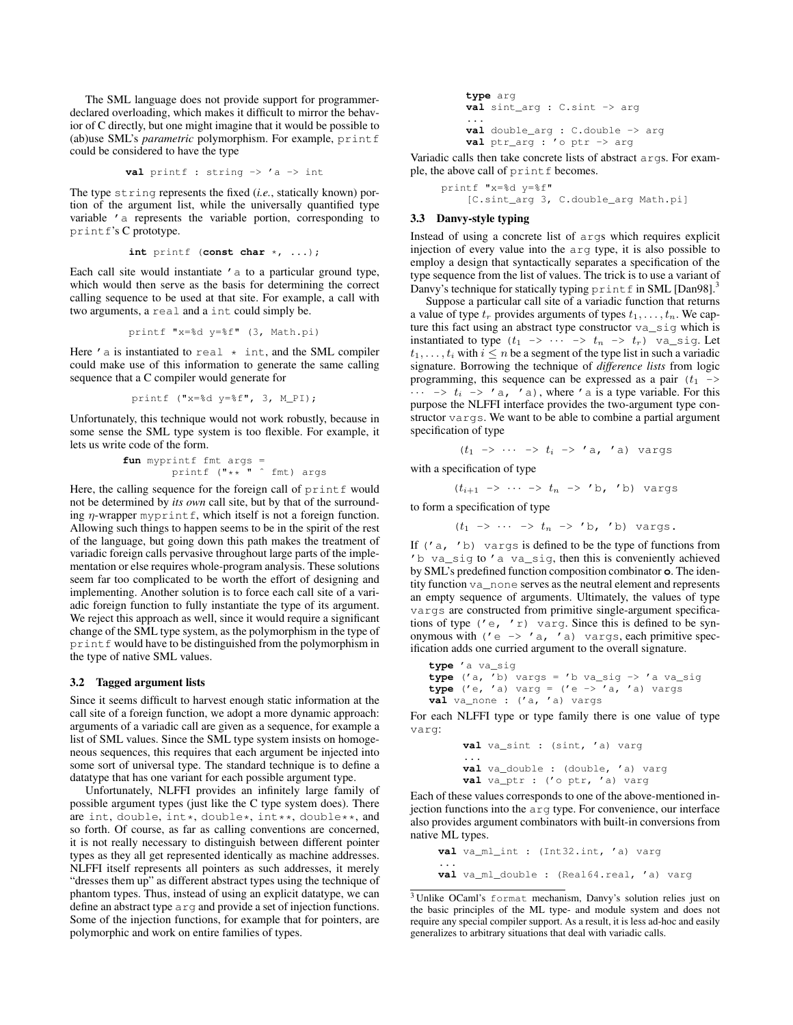The SML language does not provide support for programmerdeclared overloading, which makes it difficult to mirror the behavior of C directly, but one might imagine that it would be possible to (ab)use SML's *parametric* polymorphism. For example, printf could be considered to have the type

$$
val print f : string \rightarrow 'a \rightarrow int
$$

The type string represents the fixed (*i.e.*, statically known) portion of the argument list, while the universally quantified type variable 'a represents the variable portion, corresponding to printf's C prototype.

$$
\text{int print} \text{ (const char } \star, \ldots);
$$

Each call site would instantiate 'a to a particular ground type, which would then serve as the basis for determining the correct calling sequence to be used at that site. For example, a call with two arguments, a real and a int could simply be.

$$
printf''x = \ddot{d}y = \ddot{f}''
$$
 (3, Math.pi)

Here  $'$  a is instantiated to real  $*$  int, and the SML compiler could make use of this information to generate the same calling sequence that a C compiler would generate for

$$
\text{print f } ("x=\& d y=\& f", 3, M_PI);
$$

Unfortunately, this technique would not work robustly, because in some sense the SML type system is too flexible. For example, it lets us write code of the form.

**fun** myprintf fmt args = printf ("\*\* " ˆ fmt) args

Here, the calling sequence for the foreign call of printf would not be determined by *its own* call site, but by that of the surrounding  $\eta$ -wrapper myprintf, which itself is not a foreign function. Allowing such things to happen seems to be in the spirit of the rest of the language, but going down this path makes the treatment of variadic foreign calls pervasive throughout large parts of the implementation or else requires whole-program analysis. These solutions seem far too complicated to be worth the effort of designing and implementing. Another solution is to force each call site of a variadic foreign function to fully instantiate the type of its argument. We reject this approach as well, since it would require a significant change of the SML type system, as the polymorphism in the type of printf would have to be distinguished from the polymorphism in the type of native SML values.

#### 3.2 Tagged argument lists

Since it seems difficult to harvest enough static information at the call site of a foreign function, we adopt a more dynamic approach: arguments of a variadic call are given as a sequence, for example a list of SML values. Since the SML type system insists on homogeneous sequences, this requires that each argument be injected into some sort of universal type. The standard technique is to define a datatype that has one variant for each possible argument type.

Unfortunately, NLFFI provides an infinitely large family of possible argument types (just like the C type system does). There are int, double,  $int*,$  double\*,  $int*,$  double\*\*, and so forth. Of course, as far as calling conventions are concerned, it is not really necessary to distinguish between different pointer types as they all get represented identically as machine addresses. NLFFI itself represents all pointers as such addresses, it merely "dresses them up" as different abstract types using the technique of phantom types. Thus, instead of using an explicit datatype, we can define an abstract type arg and provide a set of injection functions. Some of the injection functions, for example that for pointers, are polymorphic and work on entire families of types.

```
type arg
val sint_arg : C.sint -> arg
...
val double_arg : C.double -> arg
val ptr_arg : 'o ptr -> arg
```
Variadic calls then take concrete lists of abstract args. For example, the above call of printf becomes.

> printf "x=%d y=%f" [C.sint\_arg 3, C.double\_arg Math.pi]

### 3.3 Danvy-style typing

Instead of using a concrete list of args which requires explicit injection of every value into the arg type, it is also possible to employ a design that syntactically separates a specification of the type sequence from the list of values. The trick is to use a variant of Danvy's technique for statically typing  $\text{print}$  f in SML [Dan98].<sup>3</sup>

Suppose a particular call site of a variadic function that returns a value of type  $t_r$  provides arguments of types  $t_1, \ldots, t_n$ . We capture this fact using an abstract type constructor va\_sig which is instantiated to type  $(t_1 \rightarrow \cdots \rightarrow t_n \rightarrow t_r)$  va\_sig. Let  $t_1, \ldots, t_i$  with  $i \leq n$  be a segment of the type list in such a variadic signature. Borrowing the technique of *difference lists* from logic programming, this sequence can be expressed as a pair  $(t_1 \rightarrow$  $\cdots$   $\rightarrow$   $t_i$   $\rightarrow$  'a, 'a), where 'a is a type variable. For this purpose the NLFFI interface provides the two-argument type constructor vargs. We want to be able to combine a partial argument specification of type

$$
(t_1 \rightarrow \cdots \rightarrow t_i \rightarrow 'a, 'a) \text{ vargs}
$$

with a specification of type

$$
(t_{i+1} \rightarrow \cdots \rightarrow t_n \rightarrow 'b, 'b) \text{ vargs}
$$

to form a specification of type

$$
(t_1 \rightarrow \cdots \rightarrow t_n \rightarrow 'b, 'b) \text{ vargs}
$$

If  $('a, 'b)$  vargs is defined to be the type of functions from 'b va\_sig to 'a va\_sig, then this is conveniently achieved by SML's predefined function composition combinator **o**. The identity function va\_none serves as the neutral element and represents an empty sequence of arguments. Ultimately, the values of type vargs are constructed from primitive single-argument specifications of type ('e, 'r) varg. Since this is defined to be synonymous with  $('e \rightarrow 'a, 'a)$  vargs, each primitive specification adds one curried argument to the overall signature.

```
type 'a va_sig
type ('a, 'b) vargs = 'b va_sig -> 'a va_sig
type ('e, 'a) varg = ('e -> 'a, 'a) vargs
val va_none : ('a, 'a) vargs
```
For each NLFFI type or type family there is one value of type varg:

```
val va_sint : (sint, 'a) varg
...
val va_double : (double, 'a) varg
val va_ptr : ('o ptr, 'a) varg
```
Each of these values corresponds to one of the above-mentioned injection functions into the arg type. For convenience, our interface also provides argument combinators with built-in conversions from native ML types.

```
val va_ml_int : (Int32.int, 'a) varg
...
val va_ml_double : (Real64.real, 'a) varg
```
<sup>3</sup> Unlike OCaml's format mechanism, Danvy's solution relies just on the basic principles of the ML type- and module system and does not require any special compiler support. As a result, it is less ad-hoc and easily generalizes to arbitrary situations that deal with variadic calls.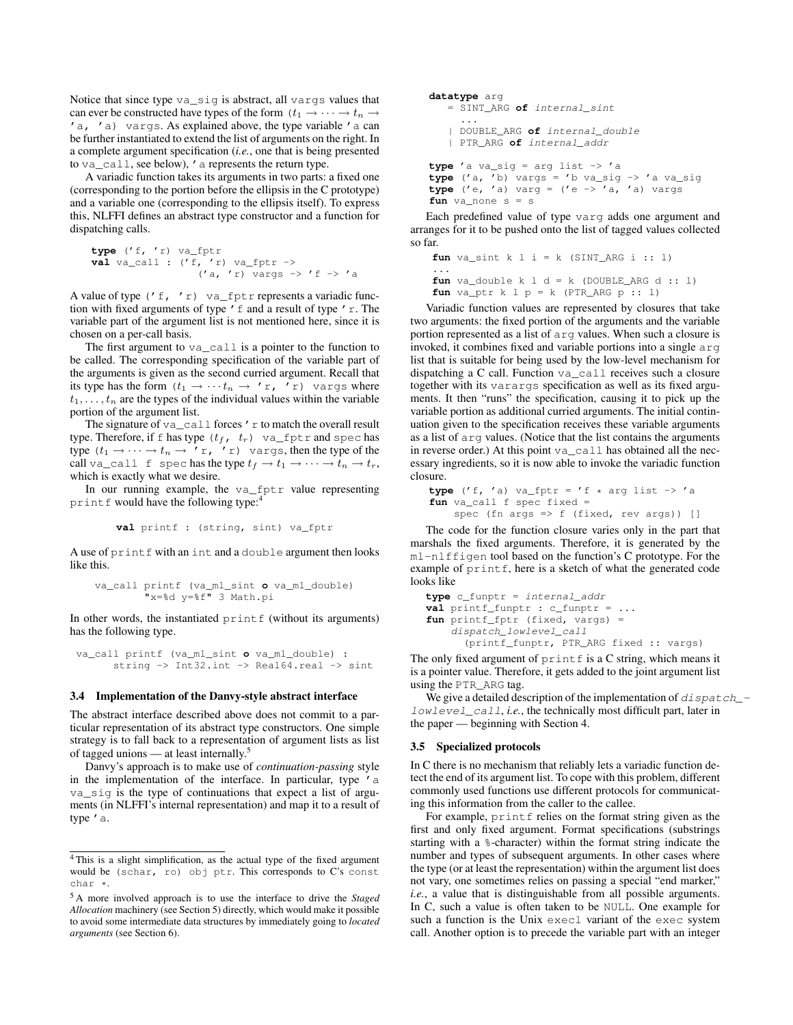Notice that since type va\_sig is abstract, all vargs values that can ever be constructed have types of the form  $(t_1 \rightarrow \cdots \rightarrow t_n \rightarrow$ 'a, 'a) vargs. As explained above, the type variable 'a can be further instantiated to extend the list of arguments on the right. In a complete argument specification (*i.e.*, one that is being presented to va\_call, see below), 'a represents the return type.

A variadic function takes its arguments in two parts: a fixed one (corresponding to the portion before the ellipsis in the C prototype) and a variable one (corresponding to the ellipsis itself). To express this, NLFFI defines an abstract type constructor and a function for dispatching calls.

```
type ('f, 'r) va_fptr
val va_call : ('f, 'r) va_fptr ->
                    ('a, 'r) vargs \rightarrow 'f \rightarrow 'a
```
A value of type  $('f, 'r)$  va\_fptr represents a variadic function with fixed arguments of type 'f and a result of type 'r. The variable part of the argument list is not mentioned here, since it is chosen on a per-call basis.

The first argument to va\_call is a pointer to the function to be called. The corresponding specification of the variable part of the arguments is given as the second curried argument. Recall that its type has the form  $(t_1 \rightarrow \cdots t_n \rightarrow 'r, 'r)$  vargs where  $t_1, \ldots, t_n$  are the types of the individual values within the variable portion of the argument list.

The signature of  $va\_call$  forces 'r to match the overall result type. Therefore, if f has type  $(t_f, t_r)$  va\_fptr and spec has type  $(t_1 \rightarrow \cdots \rightarrow t_n \rightarrow 'r, 'r)$  vargs, then the type of the call va\_call f spec has the type  $t_f \to t_1 \to \cdots \to t_n \to t_r$ , which is exactly what we desire.

In our running example, the va\_fptr value representing printf would have the following type:

**val** printf : (string, sint) va\_fptr

A use of printf with an int and a double argument then looks like this.

```
va_call printf (va_ml_sint o va_ml_double)
        "x=%d y=%f" 3 Math.pi
```
In other words, the instantiated  $print$  (without its arguments) has the following type.

```
va_call printf (va_ml_sint o va_ml_double) :
      string -> Int32.int -> Real64.real -> sint
```
#### 3.4 Implementation of the Danvy-style abstract interface

The abstract interface described above does not commit to a particular representation of its abstract type constructors. One simple strategy is to fall back to a representation of argument lists as list of tagged unions — at least internally. $5$ 

Danvy's approach is to make use of *continuation-passing* style in the implementation of the interface. In particular, type 'a va\_sig is the type of continuations that expect a list of arguments (in NLFFI's internal representation) and map it to a result of type 'a.

```
datatype arg
   = SINT_ARG of internal_sint
     ...
   | DOUBLE_ARG of internal_double
   | PTR_ARG of internal_addr
type 'a va_sig = arg list -> 'a
type ('a, 'b) vargs = 'b va_sig -> 'a va_sig
type('e, 'a) varq = ('e -> 'a, 'a) varqfun va_none s = s
```
Each predefined value of type varg adds one argument and arranges for it to be pushed onto the list of tagged values collected so far.

```
fun va_sint k l i = k (SINT_ARG i :: 1)
...
fun va double k l d = k (DOUBLE ARG d :: 1)
{\bf fun} va_ptr k l p = k (PTR_ARG p :: 1)
```
Variadic function values are represented by closures that take two arguments: the fixed portion of the arguments and the variable portion represented as a list of arg values. When such a closure is invoked, it combines fixed and variable portions into a single arg list that is suitable for being used by the low-level mechanism for dispatching a C call. Function va\_call receives such a closure together with its varargs specification as well as its fixed arguments. It then "runs" the specification, causing it to pick up the variable portion as additional curried arguments. The initial continuation given to the specification receives these variable arguments as a list of arg values. (Notice that the list contains the arguments in reverse order.) At this point va\_call has obtained all the necessary ingredients, so it is now able to invoke the variadic function closure.

```
type ('f, 'a) va_fptr = 'f * arg list -> 'afun va_call f spec fixed =
    spec (fn args => f (fixed, rev args)) []
```
The code for the function closure varies only in the part that marshals the fixed arguments. Therefore, it is generated by the ml-nlffigen tool based on the function's C prototype. For the example of  $print f$ , here is a sketch of what the generated code looks like

```
type c_funptr = internal_addr
val printf_funptr : c_funptr = ...
fun printf_fptr (fixed, vargs) =
    dispatch_lowlevel_call
      (printf_funptr, PTR_ARG fixed :: vargs)
```
The only fixed argument of  $print \in s$  a C string, which means it is a pointer value. Therefore, it gets added to the joint argument list using the PTR\_ARG tag.

We give a detailed description of the implementation of dispatch\_lowlevel\_call, *i.e.*, the technically most difficult part, later in the paper — beginning with Section 4.

#### 3.5 Specialized protocols

In C there is no mechanism that reliably lets a variadic function detect the end of its argument list. To cope with this problem, different commonly used functions use different protocols for communicating this information from the caller to the callee.

For example, printf relies on the format string given as the first and only fixed argument. Format specifications (substrings starting with a %-character) within the format string indicate the number and types of subsequent arguments. In other cases where the type (or at least the representation) within the argument list does not vary, one sometimes relies on passing a special "end marker," *i.e.*, a value that is distinguishable from all possible arguments. In C, such a value is often taken to be NULL. One example for such a function is the Unix execl variant of the exec system call. Another option is to precede the variable part with an integer

<sup>4</sup> This is a slight simplification, as the actual type of the fixed argument would be (schar, ro) obj ptr. This corresponds to C's const char \*.

<sup>5</sup> A more involved approach is to use the interface to drive the *Staged Allocation* machinery (see Section 5) directly, which would make it possible to avoid some intermediate data structures by immediately going to *located arguments* (see Section 6).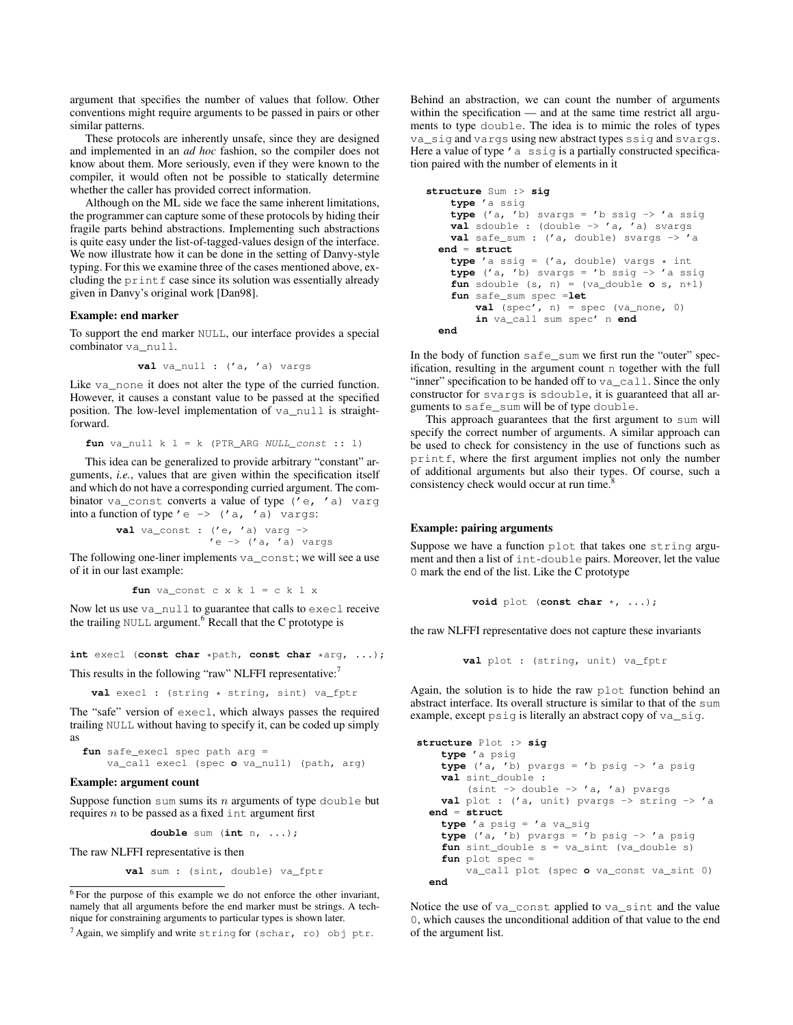argument that specifies the number of values that follow. Other conventions might require arguments to be passed in pairs or other similar patterns.

These protocols are inherently unsafe, since they are designed and implemented in an *ad hoc* fashion, so the compiler does not know about them. More seriously, even if they were known to the compiler, it would often not be possible to statically determine whether the caller has provided correct information.

Although on the ML side we face the same inherent limitations, the programmer can capture some of these protocols by hiding their fragile parts behind abstractions. Implementing such abstractions is quite easy under the list-of-tagged-values design of the interface. We now illustrate how it can be done in the setting of Danvy-style typing. For this we examine three of the cases mentioned above, excluding the  $print$  case since its solution was essentially already given in Danvy's original work [Dan98].

#### Example: end marker

To support the end marker NULL, our interface provides a special combinator va\_null.

```
val va_null : ('a, 'a) vargs
```
Like va\_none it does not alter the type of the curried function. However, it causes a constant value to be passed at the specified position. The low-level implementation of va\_null is straightforward.

$$
fun va\_null k l = k (PTR\_ARG NULL\_const :: l)
$$

This idea can be generalized to provide arbitrary "constant" arguments, *i.e.*, values that are given within the specification itself and which do not have a corresponding curried argument. The combinator va\_const converts a value of type ('e, 'a) varg into a function of type  $' e \rightarrow (' a, ' a)$  vargs:

> **val** va\_const :  $('e, 'a)$  varg  $\rightarrow$  $'e \rightarrow ('a, 'a)$  vargs

The following one-liner implements  $\forall a$  const; we will see a use of it in our last example:

```
fun va_const c x k l = c k l x
```
Now let us use va\_null to guarantee that calls to execl receive the trailing NULL argument.<sup>6</sup> Recall that the C prototype is

**int** execl (**const char** \*path, **const char** \*arg, ...);

This results in the following "raw" NLFFI representative:

val execl : (string \* string, sint) va\_fptr

The "safe" version of execl, which always passes the required trailing NULL without having to specify it, can be coded up simply as

```
fun safe_execl spec path arg =
   va_call execl (spec o va_null) (path, arg)
```
#### Example: argument count

Suppose function sum sums its  $n$  arguments of type double but requires  $n$  to be passed as a fixed int argument first

**double** sum (**int** n, ...);

The raw NLFFI representative is then

```
val sum : (sint, double) va_fptr
```

```
6 For the purpose of this example we do not enforce the other invariant,
namely that all arguments before the end marker must be strings. A tech-
nique for constraining arguments to particular types is shown later.
```

```
7 Again, we simplify and write string for (schar, ro) obj ptr.
```
Behind an abstraction, we can count the number of arguments within the specification — and at the same time restrict all arguments to type double. The idea is to mimic the roles of types va\_sig and vargs using new abstract types ssig and svargs. Here a value of type  $'$  a ssig is a partially constructed specification paired with the number of elements in it

```
structure Sum :> sig
   type 'a ssig
    type ('a, 'b) svargs = 'b ssig -> 'a ssig
    val sdouble : (double -> 'a, 'a) svargs
    val safe_sum : ('a, double) svargs -> 'a
  end = struct
    type 'a ssig = ('a, double) vargs * int
    type ('a, 'b) svargs = 'b ssig -> 'a ssig
    fun sdouble (s, n) = (va_double \ o \ s, n+1)fun safe_sum spec =let
        val (spec', n) = spec (va_none, 0)
        in va_call sum spec' n end
  end
```
In the body of function safe\_sum we first run the "outer" specification, resulting in the argument count n together with the full "inner" specification to be handed off to va\_call. Since the only constructor for svargs is sdouble, it is guaranteed that all arguments to safe\_sum will be of type double.

This approach guarantees that the first argument to sum will specify the correct number of arguments. A similar approach can be used to check for consistency in the use of functions such as printf, where the first argument implies not only the number of additional arguments but also their types. Of course, such a consistency check would occur at run time.<sup>8</sup>

#### Example: pairing arguments

Suppose we have a function plot that takes one string argument and then a list of int-double pairs. Moreover, let the value 0 mark the end of the list. Like the C prototype

```
void plot (const char *, ...);
```
the raw NLFFI representative does not capture these invariants

```
val plot : (string, unit) va_fptr
```
Again, the solution is to hide the raw plot function behind an abstract interface. Its overall structure is similar to that of the sum example, except psig is literally an abstract copy of va\_sig.

```
structure Plot :> sig
    type 'a psig
    type ('a, 'b) pvargs = 'b psig -> 'a psig
    val sint_double :
        (sint \rightarrow double \rightarrow 'a, 'a) pvargs
    val plot : ('a, unit) pvargs \rightarrow string \rightarrow 'a
  end = struct
    type 'a psig = 'a va_sig
    type ('a, 'b) pvargs = 'b psig -> 'a psig
    fun sint_double s = va_sint (va_double s)
    fun plot spec =
        va_call plot (spec o va_const va_sint 0)
 end
```
Notice the use of va\_const applied to va\_sint and the value 0, which causes the unconditional addition of that value to the end of the argument list.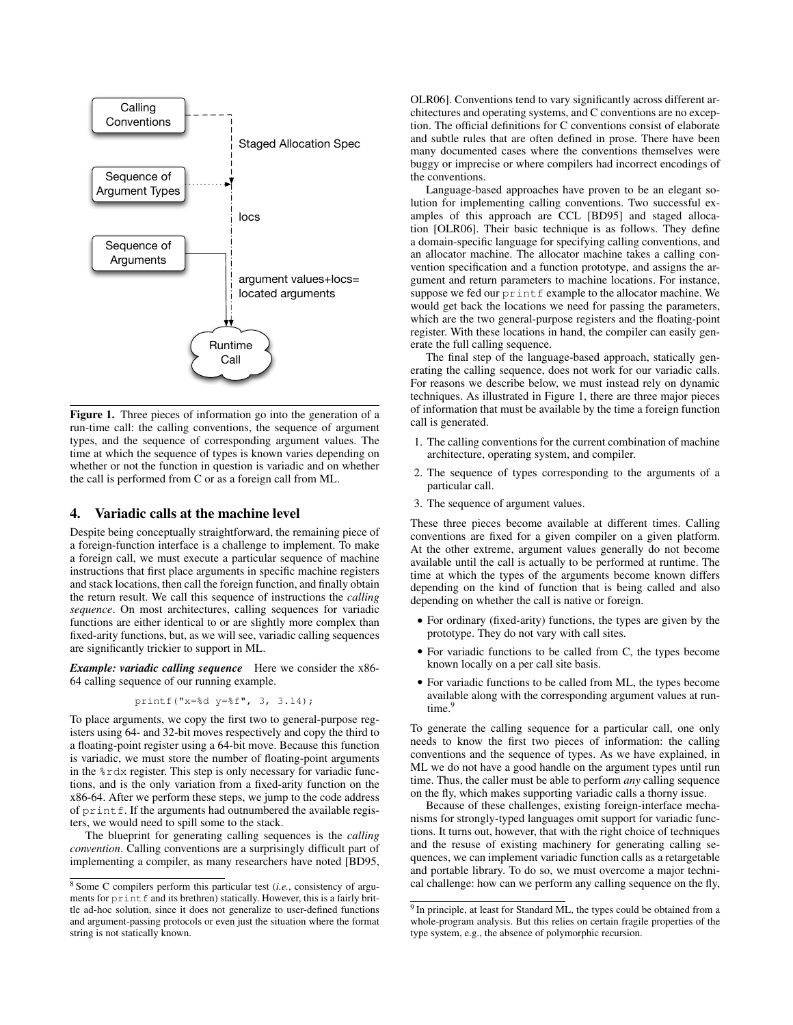

Figure 1. Three pieces of information go into the generation of a run-time call: the calling conventions, the sequence of argument types, and the sequence of corresponding argument values. The time at which the sequence of types is known varies depending on whether or not the function in question is variadic and on whether the call is performed from C or as a foreign call from ML.

# 4. Variadic calls at the machine level

Despite being conceptually straightforward, the remaining piece of a foreign-function interface is a challenge to implement. To make a foreign call, we must execute a particular sequence of machine instructions that first place arguments in specific machine registers and stack locations, then call the foreign function, and finally obtain the return result. We call this sequence of instructions the *calling sequence*. On most architectures, calling sequences for variadic functions are either identical to or are slightly more complex than fixed-arity functions, but, as we will see, variadic calling sequences are significantly trickier to support in ML.

*Example: variadic calling sequence* Here we consider the x86- 64 calling sequence of our running example.

printf("x=%d y=%f", 3, 3.14);

To place arguments, we copy the first two to general-purpose registers using 64- and 32-bit moves respectively and copy the third to a floating-point register using a 64-bit move. Because this function is variadic, we must store the number of floating-point arguments in the  $\text{\$rdx}$  register. This step is only necessary for variadic functions, and is the only variation from a fixed-arity function on the x86-64. After we perform these steps, we jump to the code address of  $print f$ . If the arguments had outnumbered the available registers, we would need to spill some to the stack.

The blueprint for generating calling sequences is the *calling convention*. Calling conventions are a surprisingly difficult part of implementing a compiler, as many researchers have noted [BD95, OLR06]. Conventions tend to vary significantly across different architectures and operating systems, and C conventions are no exception. The official definitions for C conventions consist of elaborate and subtle rules that are often defined in prose. There have been many documented cases where the conventions themselves were buggy or imprecise or where compilers had incorrect encodings of the conventions.

Language-based approaches have proven to be an elegant solution for implementing calling conventions. Two successful examples of this approach are CCL [BD95] and staged allocation [OLR06]. Their basic technique is as follows. They define a domain-specific language for specifying calling conventions, and an allocator machine. The allocator machine takes a calling convention specification and a function prototype, and assigns the argument and return parameters to machine locations. For instance, suppose we fed our  $print$   $\epsilon$  example to the allocator machine. We would get back the locations we need for passing the parameters, which are the two general-purpose registers and the floating-point register. With these locations in hand, the compiler can easily generate the full calling sequence.

The final step of the language-based approach, statically generating the calling sequence, does not work for our variadic calls. For reasons we describe below, we must instead rely on dynamic techniques. As illustrated in Figure 1, there are three major pieces of information that must be available by the time a foreign function call is generated.

- 1. The calling conventions for the current combination of machine architecture, operating system, and compiler.
- 2. The sequence of types corresponding to the arguments of a particular call.
- 3. The sequence of argument values.

These three pieces become available at different times. Calling conventions are fixed for a given compiler on a given platform. At the other extreme, argument values generally do not become available until the call is actually to be performed at runtime. The time at which the types of the arguments become known differs depending on the kind of function that is being called and also depending on whether the call is native or foreign.

- For ordinary (fixed-arity) functions, the types are given by the prototype. They do not vary with call sites.
- For variadic functions to be called from C, the types become known locally on a per call site basis.
- For variadic functions to be called from ML, the types become available along with the corresponding argument values at runtime.<sup>9</sup>

To generate the calling sequence for a particular call, one only needs to know the first two pieces of information: the calling conventions and the sequence of types. As we have explained, in ML we do not have a good handle on the argument types until run time. Thus, the caller must be able to perform *any* calling sequence on the fly, which makes supporting variadic calls a thorny issue.

Because of these challenges, existing foreign-interface mechanisms for strongly-typed languages omit support for variadic functions. It turns out, however, that with the right choice of techniques and the resuse of existing machinery for generating calling sequences, we can implement variadic function calls as a retargetable and portable library. To do so, we must overcome a major technical challenge: how can we perform any calling sequence on the fly,

<sup>8</sup> Some C compilers perform this particular test (*i.e.*, consistency of arguments for printf and its brethren) statically. However, this is a fairly brittle ad-hoc solution, since it does not generalize to user-defined functions and argument-passing protocols or even just the situation where the format string is not statically known.

<sup>&</sup>lt;sup>9</sup> In principle, at least for Standard ML, the types could be obtained from a whole-program analysis. But this relies on certain fragile properties of the type system, e.g., the absence of polymorphic recursion.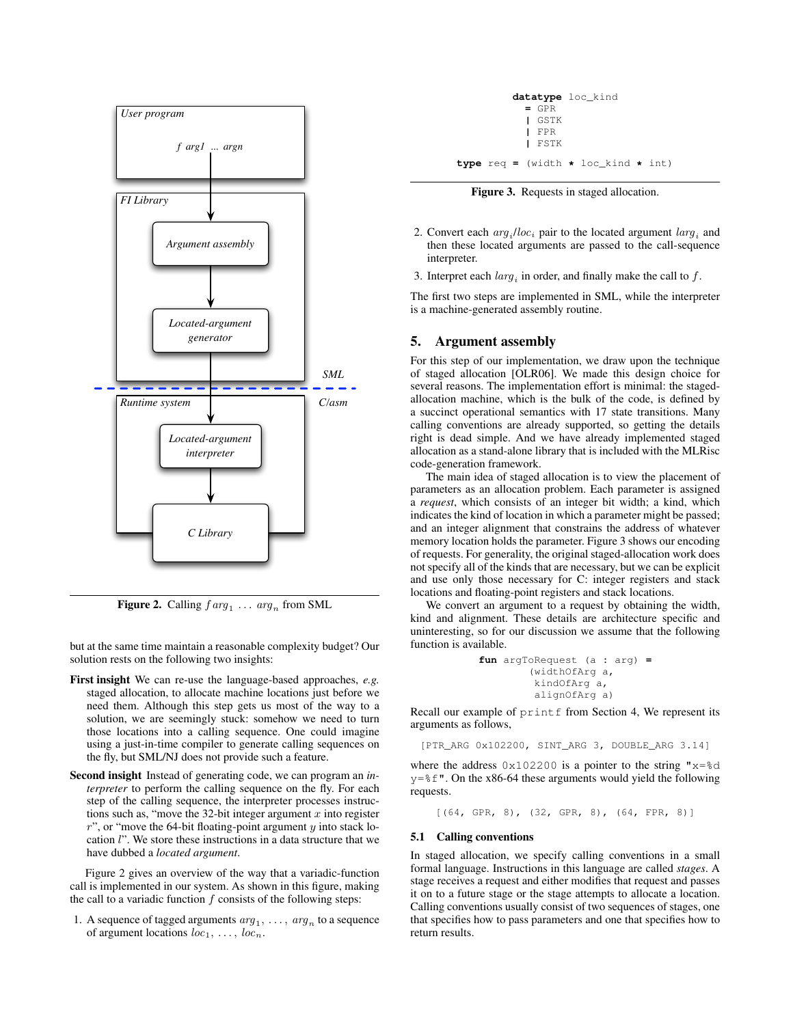

**Figure 2.** Calling  $f arg_1 \ldots arg_n$  from SML

but at the same time maintain a reasonable complexity budget? Our solution rests on the following two insights:

- First insight We can re-use the language-based approaches, *e.g.* staged allocation, to allocate machine locations just before we need them. Although this step gets us most of the way to a solution, we are seemingly stuck: somehow we need to turn those locations into a calling sequence. One could imagine using a just-in-time compiler to generate calling sequences on the fly, but SML/NJ does not provide such a feature.
- Second insight Instead of generating code, we can program an *interpreter* to perform the calling sequence on the fly. For each step of the calling sequence, the interpreter processes instructions such as, "move the 32-bit integer argument  $x$  into register  $r$ ", or "move the 64-bit floating-point argument  $y$  into stack location l". We store these instructions in a data structure that we have dubbed a *located argument*.

Figure 2 gives an overview of the way that a variadic-function call is implemented in our system. As shown in this figure, making the call to a variadic function  $f$  consists of the following steps:

1. A sequence of tagged arguments  $arg_1, \ldots, arg_n$  to a sequence of argument locations  $loc_1, \ldots, loc_n$ .

|                                                        | $=$ GPR<br>I GSTK<br>I FPR<br>I FSTK | datatype loc_kind |  |
|--------------------------------------------------------|--------------------------------------|-------------------|--|
| <b>type</b> req = (width $\star$ loc kind $\star$ int) |                                      |                   |  |

Figure 3. Requests in staged allocation.

- 2. Convert each  $arg_i / loc_i$  pair to the located argument  $larg_i$  and then these located arguments are passed to the call-sequence interpreter.
- 3. Interpret each  $larg_i$  in order, and finally make the call to f.

The first two steps are implemented in SML, while the interpreter is a machine-generated assembly routine.

# 5. Argument assembly

For this step of our implementation, we draw upon the technique of staged allocation [OLR06]. We made this design choice for several reasons. The implementation effort is minimal: the stagedallocation machine, which is the bulk of the code, is defined by a succinct operational semantics with 17 state transitions. Many calling conventions are already supported, so getting the details right is dead simple. And we have already implemented staged allocation as a stand-alone library that is included with the MLRisc code-generation framework.

The main idea of staged allocation is to view the placement of parameters as an allocation problem. Each parameter is assigned a *request*, which consists of an integer bit width; a kind, which indicates the kind of location in which a parameter might be passed; and an integer alignment that constrains the address of whatever memory location holds the parameter. Figure 3 shows our encoding of requests. For generality, the original staged-allocation work does not specify all of the kinds that are necessary, but we can be explicit and use only those necessary for C: integer registers and stack locations and floating-point registers and stack locations.

We convert an argument to a request by obtaining the width, kind and alignment. These details are architecture specific and uninteresting, so for our discussion we assume that the following function is available.

```
fun argToRequest (a : arg) =
        (widthOfArg a,
         kindOfArg a,
         alignOfArg a)
```
Recall our example of printf from Section 4, We represent its arguments as follows,

[PTR\_ARG 0x102200, SINT\_ARG 3, DOUBLE\_ARG 3.14]

where the address  $0x102200$  is a pointer to the string " $x=8d$  $y=\text{\$f}$ ". On the x86-64 these arguments would yield the following requests.

[(64, GPR, 8), (32, GPR, 8), (64, FPR, 8)]

#### 5.1 Calling conventions

In staged allocation, we specify calling conventions in a small formal language. Instructions in this language are called *stages*. A stage receives a request and either modifies that request and passes it on to a future stage or the stage attempts to allocate a location. Calling conventions usually consist of two sequences of stages, one that specifies how to pass parameters and one that specifies how to return results.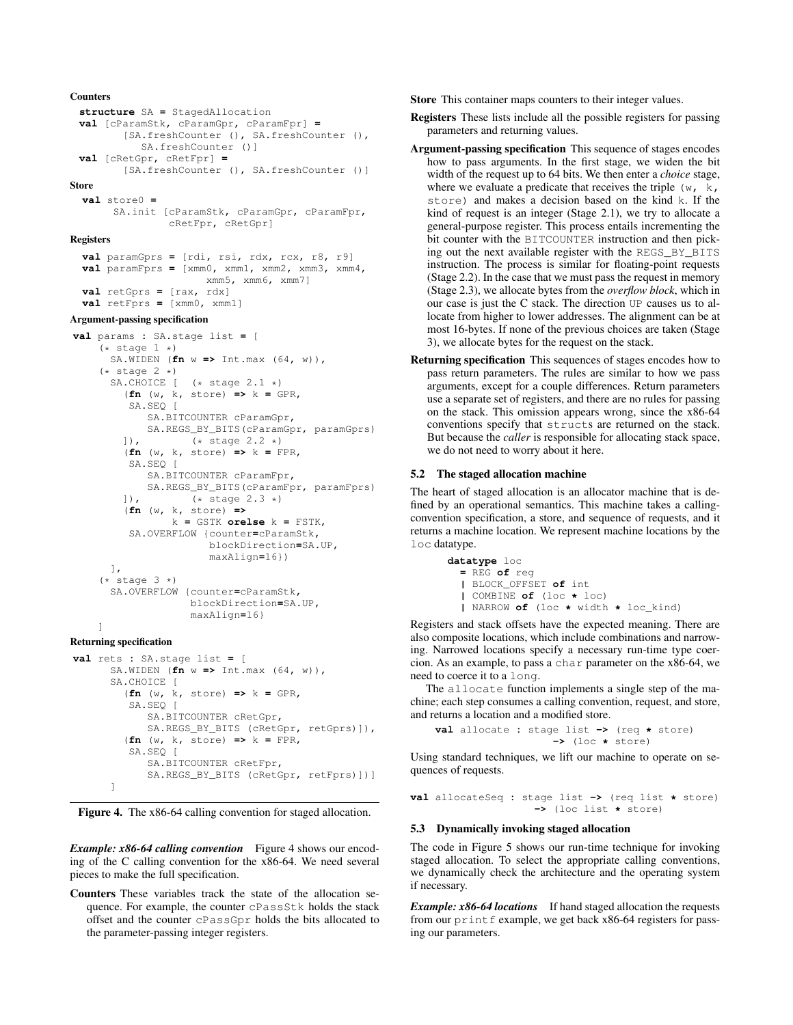```
structure SA = StagedAllocation
val [cParamStk, cParamGpr, cParamFpr] =
       [SA.freshCounter (), SA.freshCounter (),
          SA.freshCounter ()]
val [cRetGpr, cRetFpr] =
```

```
[SA.freshCounter (), SA.freshCounter ()]
```
#### Store

```
val store0 =
     SA.init [cParamStk, cParamGpr, cParamFpr,
              cRetFpr, cRetGpr]
```
# Registers

```
val paramGprs = [rdi, rsi, rdx, rcx, r8, r9]
val paramFprs = [xmm0, xmm1, xmm2, xmm3, xmm4,
                    xmm5, xmm6, xmm7]
val retGprs = [rax, rdx]
val retFprs = [xmm0, xmm1]
```
# Argument-passing specification

```
val params : SA.stage list = [
    (* state 1 *)SA.WIDEN (fn w => Int.max (64, w)),
     (* state 2 *)<br>SA.CHOICE
                   (* stage 2.1 *)(fn (w, k, store) => k = GPR,
         SA.SEQ [
             SA.BITCOUNTER cParamGpr,
            SA.REGS_BY_BITS(cParamGpr, paramGprs)
        ]), (* stage 2.2 *)
         (fn (w, k, store) => k = FPR,
         SA.SEQ [
            SA.BITCOUNTER cParamFpr,
            SA.REGS_BY_BITS(cParamFpr, paramFprs)
        ]), (* stage 2.3 *)
         (fn (w, k, store) =>
                 k = GSTK orelse k = FSTK,
         SA.OVERFLOW {counter=cParamStk,
                       blockDirection=SA.UP,
                       maxAlign=16})
      ],
     (* state 3 *)SA.OVERFLOW {counter=cParamStk,
                    blockDirection=SA.UP,
                    maxAlign=16}
    ]
Returning specification
```

```
val rets : SA.stage list = [
      SA.WIDEN (fn w => Int.max (64, w)),
      SA. CHOICE [
        (fn (w, k, store) => k = GPR,
         SA.SEO [
            SA.BITCOUNTER cRetGpr,
            SA.REGS_BY_BITS (cRetGpr, retGprs)]),
        (fn (w, k, store) => k = FPR,
         SA.SEQ [
            SA.BITCOUNTER cRetFpr,
            SA.REGS_BY_BITS (cRetGpr, retFprs)])]
      ]
```


*Example: x86-64 calling convention* Figure 4 shows our encoding of the C calling convention for the x86-64. We need several pieces to make the full specification.

Counters These variables track the state of the allocation sequence. For example, the counter cPassStk holds the stack offset and the counter cPassGpr holds the bits allocated to the parameter-passing integer registers.

Store This container maps counters to their integer values.

- Registers These lists include all the possible registers for passing parameters and returning values.
- Argument-passing specification This sequence of stages encodes how to pass arguments. In the first stage, we widen the bit width of the request up to 64 bits. We then enter a *choice* stage, where we evaluate a predicate that receives the triple  $(w, k, k)$ store) and makes a decision based on the kind k. If the kind of request is an integer (Stage 2.1), we try to allocate a general-purpose register. This process entails incrementing the bit counter with the BITCOUNTER instruction and then picking out the next available register with the REGS\_BY\_BITS instruction. The process is similar for floating-point requests (Stage 2.2). In the case that we must pass the request in memory (Stage 2.3), we allocate bytes from the *overflow block*, which in our case is just the C stack. The direction UP causes us to allocate from higher to lower addresses. The alignment can be at most 16-bytes. If none of the previous choices are taken (Stage 3), we allocate bytes for the request on the stack.
- Returning specification This sequences of stages encodes how to pass return parameters. The rules are similar to how we pass arguments, except for a couple differences. Return parameters use a separate set of registers, and there are no rules for passing on the stack. This omission appears wrong, since the x86-64 conventions specify that structs are returned on the stack. But because the *caller* is responsible for allocating stack space, we do not need to worry about it here.

# 5.2 The staged allocation machine

The heart of staged allocation is an allocator machine that is defined by an operational semantics. This machine takes a callingconvention specification, a store, and sequence of requests, and it returns a machine location. We represent machine locations by the loc datatype.

```
datatype loc
  = REG of reg
  | BLOCK_OFFSET of int
  | COMBINE of (loc * loc)
  | NARROW of (loc * width * loc_kind)
```
Registers and stack offsets have the expected meaning. There are also composite locations, which include combinations and narrowing. Narrowed locations specify a necessary run-time type coercion. As an example, to pass a char parameter on the x86-64, we need to coerce it to a long.

The allocate function implements a single step of the machine; each step consumes a calling convention, request, and store, and returns a location and a modified store.

```
val allocate : stage list -> (req * store)
                   -> (loc * store)
```
Using standard techniques, we lift our machine to operate on sequences of requests.

```
val allocateSeq : stage list -> (req list * store)
                    -> (loc list * store)
```
# 5.3 Dynamically invoking staged allocation

The code in Figure 5 shows our run-time technique for invoking staged allocation. To select the appropriate calling conventions, we dynamically check the architecture and the operating system if necessary.

*Example: x86-64 locations* If hand staged allocation the requests from our printf example, we get back x86-64 registers for passing our parameters.

# **Counters**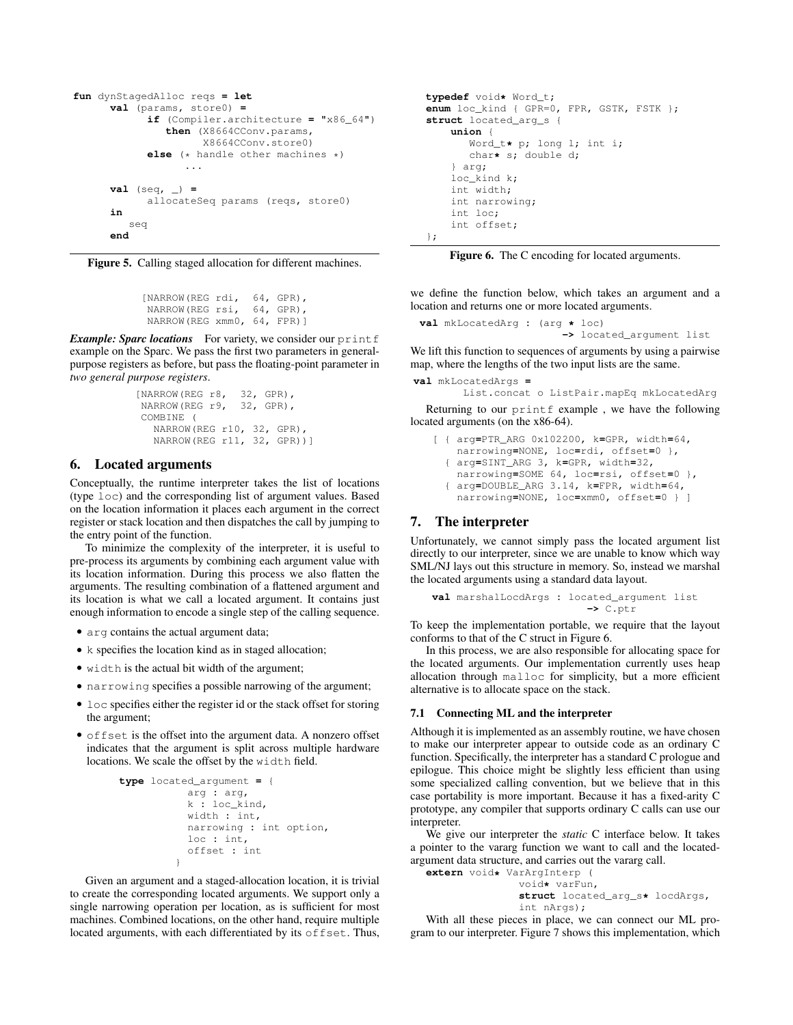```
fun dynStagedAlloc reqs = let
      val (params, store0) =
            if (Compiler.architecture = "x86_64")
               then (X8664CConv.params,
                     X8664CConv.store0)
            else (* handle other machines *)
                  ...
      val (seq, _) =
            allocateSeq params (reqs, store0)
      in
         seq
      end
```
Figure 5. Calling staged allocation for different machines.

```
[NARROW(REG rdi, 64, GPR),
NARROW(REG rsi, 64, GPR),
NARROW(REG xmm0, 64, FPR)]
```
*Example: Sparc locations* For variety, we consider our print f example on the Sparc. We pass the first two parameters in generalpurpose registers as before, but pass the floating-point parameter in *two general purpose registers*.

```
[NARROW(REG r8, 32, GPR),
NARROW(REG r9, 32, GPR),
COMBINE (
  NARROW(REG r10, 32, GPR),
  NARROW(REG r11, 32, GPR))]
```
### 6. Located arguments

Conceptually, the runtime interpreter takes the list of locations (type loc) and the corresponding list of argument values. Based on the location information it places each argument in the correct register or stack location and then dispatches the call by jumping to the entry point of the function.

To minimize the complexity of the interpreter, it is useful to pre-process its arguments by combining each argument value with its location information. During this process we also flatten the arguments. The resulting combination of a flattened argument and its location is what we call a located argument. It contains just enough information to encode a single step of the calling sequence.

- arg contains the actual argument data;
- k specifies the location kind as in staged allocation;
- width is the actual bit width of the argument;
- narrowing specifies a possible narrowing of the argument;
- loc specifies either the register id or the stack offset for storing the argument;
- offset is the offset into the argument data. A nonzero offset indicates that the argument is split across multiple hardware locations. We scale the offset by the width field.

```
type located_argument = {
           arg : arg,
           k : loc_kind,
           width : int,
           narrowing : int option,
           loc : int,
           offset : int
         }
```
Given an argument and a staged-allocation location, it is trivial to create the corresponding located arguments. We support only a single narrowing operation per location, as is sufficient for most machines. Combined locations, on the other hand, require multiple located arguments, with each differentiated by its offset. Thus,

```
typedef void* Word_t;
enum loc_kind { GPR=0, FPR, GSTK, FSTK };
struct located_arg_s {
    union {
       Word_t* p; long l; int i;
       char* s; double d;
    } arg;
    loc_kind k;
    int width;
    int narrowing;
    int loc;
    int offset;
};
```
Figure 6. The C encoding for located arguments.

we define the function below, which takes an argument and a location and returns one or more located arguments.

```
val mkLocatedArg : (arg * loc)
                       -> located_argument list
```
We lift this function to sequences of arguments by using a pairwise map, where the lengths of the two input lists are the same.

```
val mkLocatedArgs =
```
List.concat o ListPair.mapEq mkLocatedArg

Returning to our printf example , we have the following located arguments (on the x86-64).

```
[ { arg=PTR_ARG 0x102200, k=GPR, width=64,
   narrowing=NONE, loc=rdi, offset=0 },
  { arg=SINT_ARG 3, k=GPR, width=32,
   narrowing=SOME 64, loc=rsi, offset=0 },
  { arg=DOUBLE_ARG 3.14, k=FPR, width=64,
   narrowing=NONE, loc=xmm0, offset=0 } ]
```
#### 7. The interpreter

Unfortunately, we cannot simply pass the located argument list directly to our interpreter, since we are unable to know which way SML/NJ lays out this structure in memory. So, instead we marshal the located arguments using a standard data layout.

**val** marshalLocdArgs **:** located\_argument list **->** C.ptr

To keep the implementation portable, we require that the layout conforms to that of the C struct in Figure 6.

In this process, we are also responsible for allocating space for the located arguments. Our implementation currently uses heap allocation through malloc for simplicity, but a more efficient alternative is to allocate space on the stack.

#### 7.1 Connecting ML and the interpreter

Although it is implemented as an assembly routine, we have chosen to make our interpreter appear to outside code as an ordinary C function. Specifically, the interpreter has a standard C prologue and epilogue. This choice might be slightly less efficient than using some specialized calling convention, but we believe that in this case portability is more important. Because it has a fixed-arity C prototype, any compiler that supports ordinary C calls can use our interpreter.

We give our interpreter the *static* C interface below. It takes a pointer to the vararg function we want to call and the locatedargument data structure, and carries out the vararg call.

**extern** void**\*** VarArgInterp ( void**\*** varFun, **struct** located\_arg\_s**\*** locdArgs, int nArgs);

With all these pieces in place, we can connect our ML program to our interpreter. Figure 7 shows this implementation, which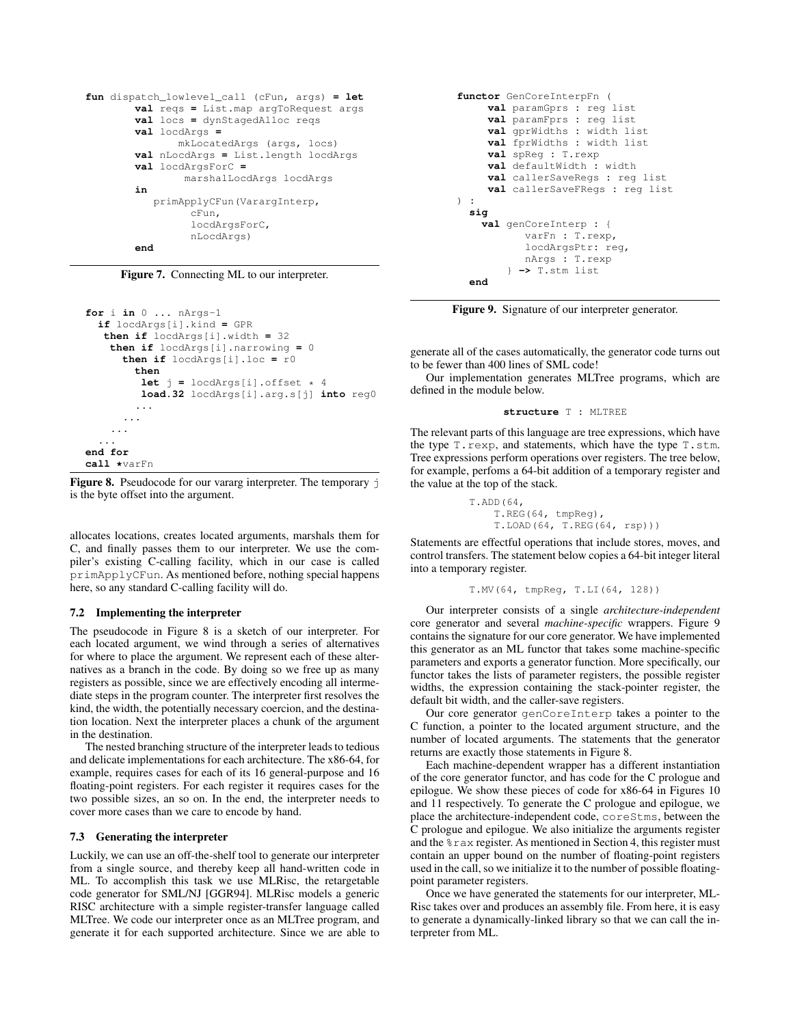```
fun dispatch_lowlevel_call (cFun, args) = let
        val reqs = List.map argToRequest args
        val locs = dynStagedAlloc reqs
        val locdArgs =
               mkLocatedArgs (args, locs)
        val nLocdArgs = List.length locdArgs
        val locdArgsForC =
                marshalLocdArgs locdArgs
        in
           primApplyCFun(VarargInterp,
                 cFun,
                 locdArgsForC,
                 nLocdArgs)
        end
```
Figure 7. Connecting ML to our interpreter.

```
for i in 0 ... nArgs-1
  if locdArgs[i].kind = GPR
   then if locdArgs[i].width = 32
    then if locdArgs[i].narrowing = 0
      then if locdArgs[i].loc = r0
        then
         let \dot{1} = locdArgs[i].offset * 4
         load.32 locdArgs[i].arg.s[j] into reg0
        ...
      ...
    ...
  ...
end for
call *varFn
```
Figure 8. Pseudocode for our vararg interpreter. The temporary j is the byte offset into the argument.

allocates locations, creates located arguments, marshals them for C, and finally passes them to our interpreter. We use the compiler's existing C-calling facility, which in our case is called primApplyCFun. As mentioned before, nothing special happens here, so any standard C-calling facility will do.

# 7.2 Implementing the interpreter

The pseudocode in Figure 8 is a sketch of our interpreter. For each located argument, we wind through a series of alternatives for where to place the argument. We represent each of these alternatives as a branch in the code. By doing so we free up as many registers as possible, since we are effectively encoding all intermediate steps in the program counter. The interpreter first resolves the kind, the width, the potentially necessary coercion, and the destination location. Next the interpreter places a chunk of the argument in the destination.

The nested branching structure of the interpreter leads to tedious and delicate implementations for each architecture. The x86-64, for example, requires cases for each of its 16 general-purpose and 16 floating-point registers. For each register it requires cases for the two possible sizes, an so on. In the end, the interpreter needs to cover more cases than we care to encode by hand.

#### 7.3 Generating the interpreter

Luckily, we can use an off-the-shelf tool to generate our interpreter from a single source, and thereby keep all hand-written code in ML. To accomplish this task we use MLRisc, the retargetable code generator for SML/NJ [GGR94]. MLRisc models a generic RISC architecture with a simple register-transfer language called MLTree. We code our interpreter once as an MLTree program, and generate it for each supported architecture. Since we are able to

```
functor GenCoreInterpFn (
     val paramGprs : reg list
     val paramFprs : reg list
     val gprWidths : width list
     val fprWidths : width list
     val spReg : T.rexp
     val defaultWidth : width
     val callerSaveRegs : reg list
     val callerSaveFRegs : reg list
) :
  sig
    val genCoreInterp : {
           varFn : T.rexp,
           locdArgsPtr: reg,
           nArgs : T.rexp
        } -> T.stm list
  end
```
Figure 9. Signature of our interpreter generator.

generate all of the cases automatically, the generator code turns out to be fewer than 400 lines of SML code!

Our implementation generates MLTree programs, which are defined in the module below.

**structure** T **:** MLTREE

The relevant parts of this language are tree expressions, which have the type T.rexp, and statements, which have the type T.stm. Tree expressions perform operations over registers. The tree below, for example, perfoms a 64-bit addition of a temporary register and the value at the top of the stack.

```
T.ADD(64,
    T.REG(64, tmpReg),
    T.LOAD(64, T.REG(64, rsp)))
```
Statements are effectful operations that include stores, moves, and control transfers. The statement below copies a 64-bit integer literal into a temporary register.

```
T.MV(64, tmpReg, T.LI(64, 128))
```
Our interpreter consists of a single *architecture-independent* core generator and several *machine-specific* wrappers. Figure 9 contains the signature for our core generator. We have implemented this generator as an ML functor that takes some machine-specific parameters and exports a generator function. More specifically, our functor takes the lists of parameter registers, the possible register widths, the expression containing the stack-pointer register, the default bit width, and the caller-save registers.

Our core generator genCoreInterp takes a pointer to the C function, a pointer to the located argument structure, and the number of located arguments. The statements that the generator returns are exactly those statements in Figure 8.

Each machine-dependent wrapper has a different instantiation of the core generator functor, and has code for the C prologue and epilogue. We show these pieces of code for x86-64 in Figures 10 and 11 respectively. To generate the C prologue and epilogue, we place the architecture-independent code, coreStms, between the C prologue and epilogue. We also initialize the arguments register and the %rax register. As mentioned in Section 4, this register must contain an upper bound on the number of floating-point registers used in the call, so we initialize it to the number of possible floatingpoint parameter registers.

Once we have generated the statements for our interpreter, ML-Risc takes over and produces an assembly file. From here, it is easy to generate a dynamically-linked library so that we can call the interpreter from ML.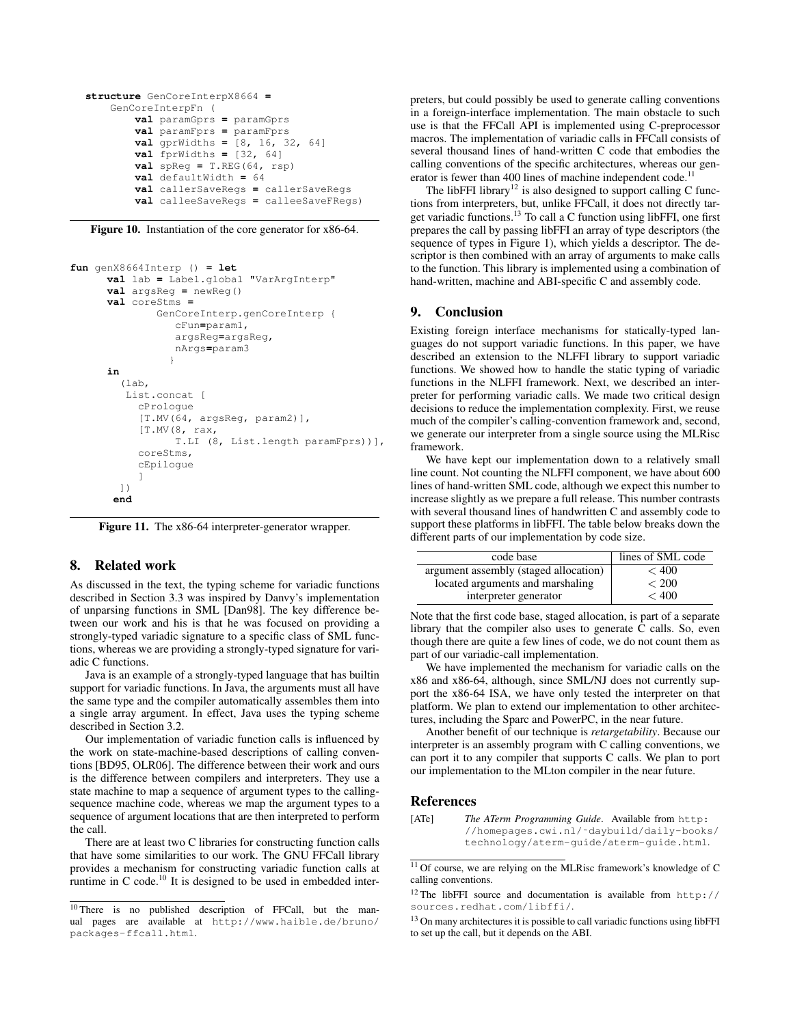```
structure GenCoreInterpX8664 =
    GenCoreInterpFn (
        val paramGprs = paramGprs
        val paramFprs = paramFprs
        val gprWidths = [8, 16, 32, 64]
        val fprWidths = [32, 64]
        val spReg = T.REG(64, rsp)
        val defaultWidth = 64
        val callerSaveRegs = callerSaveRegs
        val calleeSaveRegs = calleeSaveFRegs)
```
Figure 10. Instantiation of the core generator for x86-64.

```
fun genX8664Interp () = let
      val lab = Label.global "VarArgInterp"
      val argsReg = newReg()
      val coreStms =
               GenCoreInterp.genCoreInterp {
                   cFun=param1,
                   argsReg=argsReg,
                   nArgs=param3
                  }
      in
         (lab,
          List.concat [
            cPrologue
            [T.MV(64, argsReg, param2)],
            [T.MV(8, rax,
                   T.LI (8, List.length paramFprs))],
            coreStms,
            cEpilogue
            \begin{array}{c} \end{array}])
       end
```
Figure 11. The x86-64 interpreter-generator wrapper.

### 8. Related work

As discussed in the text, the typing scheme for variadic functions described in Section 3.3 was inspired by Danvy's implementation of unparsing functions in SML [Dan98]. The key difference between our work and his is that he was focused on providing a strongly-typed variadic signature to a specific class of SML functions, whereas we are providing a strongly-typed signature for variadic C functions.

Java is an example of a strongly-typed language that has builtin support for variadic functions. In Java, the arguments must all have the same type and the compiler automatically assembles them into a single array argument. In effect, Java uses the typing scheme described in Section 3.2.

Our implementation of variadic function calls is influenced by the work on state-machine-based descriptions of calling conventions [BD95, OLR06]. The difference between their work and ours is the difference between compilers and interpreters. They use a state machine to map a sequence of argument types to the callingsequence machine code, whereas we map the argument types to a sequence of argument locations that are then interpreted to perform the call.

There are at least two C libraries for constructing function calls that have some similarities to our work. The GNU FFCall library provides a mechanism for constructing variadic function calls at runtime in C code.<sup>10</sup> It is designed to be used in embedded inter-

preters, but could possibly be used to generate calling conventions in a foreign-interface implementation. The main obstacle to such use is that the FFCall API is implemented using C-preprocessor macros. The implementation of variadic calls in FFCall consists of several thousand lines of hand-written C code that embodies the calling conventions of the specific architectures, whereas our generator is fewer than 400 lines of machine independent code.<sup>11</sup>

The libFFI library<sup>12</sup> is also designed to support calling C functions from interpreters, but, unlike FFCall, it does not directly target variadic functions.<sup>13</sup> To call a C function using libFFI, one first prepares the call by passing libFFI an array of type descriptors (the sequence of types in Figure 1), which yields a descriptor. The descriptor is then combined with an array of arguments to make calls to the function. This library is implemented using a combination of hand-written, machine and ABI-specific C and assembly code.

# 9. Conclusion

Existing foreign interface mechanisms for statically-typed languages do not support variadic functions. In this paper, we have described an extension to the NLFFI library to support variadic functions. We showed how to handle the static typing of variadic functions in the NLFFI framework. Next, we described an interpreter for performing variadic calls. We made two critical design decisions to reduce the implementation complexity. First, we reuse much of the compiler's calling-convention framework and, second, we generate our interpreter from a single source using the MLRisc framework.

We have kept our implementation down to a relatively small line count. Not counting the NLFFI component, we have about 600 lines of hand-written SML code, although we expect this number to increase slightly as we prepare a full release. This number contrasts with several thousand lines of handwritten C and assembly code to support these platforms in libFFI. The table below breaks down the different parts of our implementation by code size.

| code base                             | lines of SML code |
|---------------------------------------|-------------------|
| argument assembly (staged allocation) | < 400             |
| located arguments and marshaling      | < 200             |
| interpreter generator                 | < 400             |

Note that the first code base, staged allocation, is part of a separate library that the compiler also uses to generate C calls. So, even though there are quite a few lines of code, we do not count them as part of our variadic-call implementation.

We have implemented the mechanism for variadic calls on the x86 and x86-64, although, since SML/NJ does not currently support the x86-64 ISA, we have only tested the interpreter on that platform. We plan to extend our implementation to other architectures, including the Sparc and PowerPC, in the near future.

Another benefit of our technique is *retargetability*. Because our interpreter is an assembly program with C calling conventions, we can port it to any compiler that supports C calls. We plan to port our implementation to the MLton compiler in the near future.

# References

[ATe] *The ATerm Programming Guide*. Available from http: //homepages.cwi.nl/˜daybuild/daily-books/ technology/aterm-guide/aterm-guide.html.

<sup>10</sup> There is no published description of FFCall, but the manual pages are available at http://www.haible.de/bruno/ packages-ffcall.html.

<sup>11</sup> Of course, we are relying on the MLRisc framework's knowledge of C calling conventions.

<sup>12</sup> The libFFI source and documentation is available from http:// sources.redhat.com/libffi/.

<sup>&</sup>lt;sup>13</sup> On many architectures it is possible to call variadic functions using libFFI to set up the call, but it depends on the ABI.